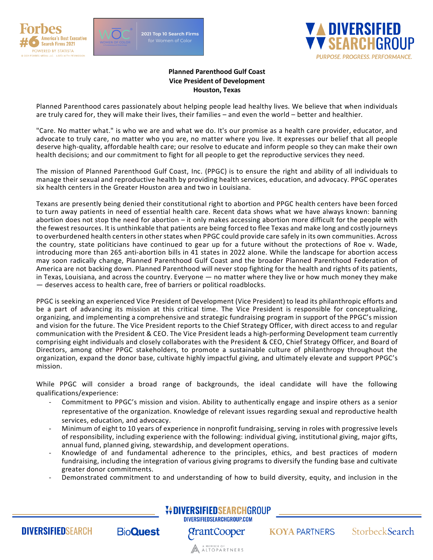



2021 Top 10 Search Firms



## **Planned Parenthood Gulf Coast Vice President of Development Houston, Texas**

Planned Parenthood cares passionately about helping people lead healthy lives. We believe that when individuals are truly cared for, they will make their lives, their families – and even the world – better and healthier.

"Care. No matter what." is who we are and what we do. It's our promise as a health care provider, educator, and advocate to truly care, no matter who you are, no matter where you live. It expresses our belief that all people deserve high-quality, affordable health care; our resolve to educate and inform people so they can make their own health decisions; and our commitment to fight for all people to get the reproductive services they need.

The mission of Planned Parenthood Gulf Coast, Inc. (PPGC) is to ensure the right and ability of all individuals to manage their sexual and reproductive health by providing health services, education, and advocacy. PPGC operates six health centers in the Greater Houston area and two in Louisiana.

Texans are presently being denied their constitutional right to abortion and PPGC health centers have been forced to turn away patients in need of essential health care. Recent data shows what we have always known: banning abortion does not stop the need for abortion – it only makes accessing abortion more difficult for the people with the fewest resources. It is unthinkable that patients are being forced to flee Texas and make long and costly journeys to overburdened health centers in other states when PPGC could provide care safely in its own communities. Across the country, state politicians have continued to gear up for a future without the protections of Roe v. Wade, introducing more than 265 anti-abortion bills in 41 states in 2022 alone. While the landscape for abortion access may soon radically change, Planned Parenthood Gulf Coast and the broader Planned Parenthood Federation of America are not backing down. Planned Parenthood will never stop fighting for the health and rights of its patients, in Texas, Louisiana, and across the country. Everyone — no matter where they live or how much money they make — deserves access to health care, free of barriers or political roadblocks.

PPGC is seeking an experienced Vice President of Development (Vice President) to lead its philanthropic efforts and be a part of advancing its mission at this critical time. The Vice President is responsible for conceptualizing, organizing, and implementing a comprehensive and strategic fundraising program in support of the PPGC's mission and vision for the future. The Vice President reports to the Chief Strategy Officer, with direct access to and regular communication with the President & CEO. The Vice President leads a high-performing Development team currently comprising eight individuals and closely collaborates with the President & CEO, Chief Strategy Officer, and Board of Directors, among other PPGC stakeholders, to promote a sustainable culture of philanthropy throughout the organization, expand the donor base, cultivate highly impactful giving, and ultimately elevate and support PPGC's mission.

While PPGC will consider a broad range of backgrounds, the ideal candidate will have the following qualifications/experience:

- Commitment to PPGC's mission and vision. Ability to authentically engage and inspire others as a senior representative of the organization. Knowledge of relevant issues regarding sexual and reproductive health services, education, and advocacy.
- Minimum of eight to 10 years of experience in nonprofit fundraising, serving in roles with progressive levels of responsibility, including experience with the following: individual giving, institutional giving, major gifts, annual fund, planned giving, stewardship, and development operations.
- Knowledge of and fundamental adherence to the principles, ethics, and best practices of modern fundraising, including the integration of various giving programs to diversify the funding base and cultivate greater donor commitments.
- Demonstrated commitment to and understanding of how to build diversity, equity, and inclusion in the



**DIVERSIFIED**SEARCH

**BioQuest** 

*<u>PrantCooper</u>* 

A AMEMBER OF TNERS

**KOYA PARTNERS** 

StorbeckSearch